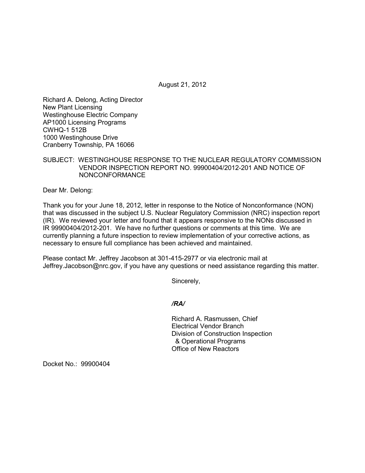August 21, 2012

Richard A. Delong, Acting Director New Plant Licensing Westinghouse Electric Company AP1000 Licensing Programs CWHQ-1 512B 1000 Westinghouse Drive Cranberry Township, PA 16066

## SUBJECT: WESTINGHOUSE RESPONSE TO THE NUCLEAR REGULATORY COMMISSION VENDOR INSPECTION REPORT NO. 99900404/2012-201 AND NOTICE OF NONCONFORMANCE

Dear Mr. Delong:

Thank you for your June 18, 2012, letter in response to the Notice of Nonconformance (NON) that was discussed in the subject U.S. Nuclear Regulatory Commission (NRC) inspection report (IR). We reviewed your letter and found that it appears responsive to the NONs discussed in IR 99900404/2012-201. We have no further questions or comments at this time. We are currently planning a future inspection to review implementation of your corrective actions, as necessary to ensure full compliance has been achieved and maintained.

Please contact Mr. Jeffrey Jacobson at 301-415-2977 or via electronic mail at Jeffrey.Jacobson@nrc.gov, if you have any questions or need assistance regarding this matter.

Sincerely,

*/RA/* 

Richard A. Rasmussen, Chief Electrical Vendor Branch Division of Construction Inspection & Operational Programs Office of New Reactors

Docket No.: 99900404